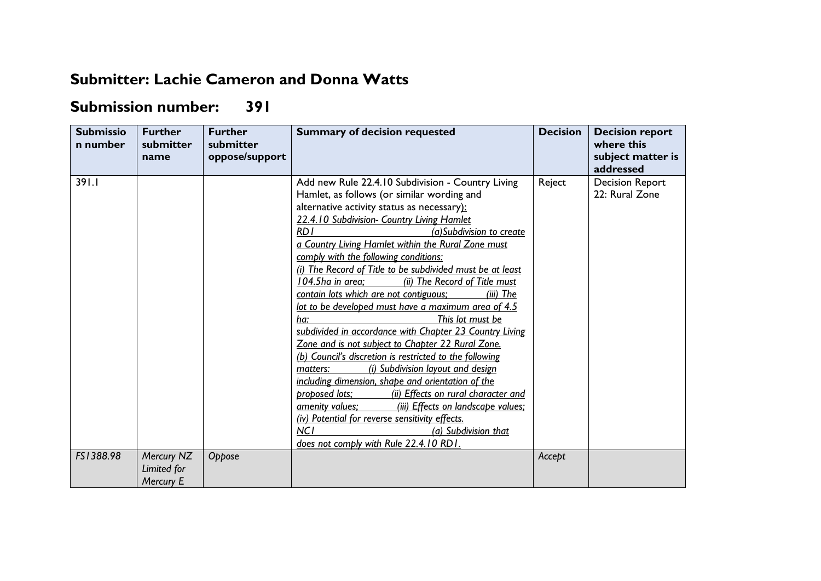## **Submitter: Lachie Cameron and Donna Watts**

## **Submission number: 391**

| <b>Submissio</b><br>n number | <b>Further</b><br>submitter<br>name    | <b>Further</b><br>submitter<br>oppose/support | <b>Summary of decision requested</b>                                                                                                                                                                                                                                                                                                                                                                                                                                                                                                                                                                                                                                                                                                                                                                                                                                                                                                                                                                                                                                                                                             | <b>Decision</b> | <b>Decision report</b><br>where this<br>subject matter is<br>addressed |
|------------------------------|----------------------------------------|-----------------------------------------------|----------------------------------------------------------------------------------------------------------------------------------------------------------------------------------------------------------------------------------------------------------------------------------------------------------------------------------------------------------------------------------------------------------------------------------------------------------------------------------------------------------------------------------------------------------------------------------------------------------------------------------------------------------------------------------------------------------------------------------------------------------------------------------------------------------------------------------------------------------------------------------------------------------------------------------------------------------------------------------------------------------------------------------------------------------------------------------------------------------------------------------|-----------------|------------------------------------------------------------------------|
| 391.1                        |                                        |                                               | Add new Rule 22.4.10 Subdivision - Country Living<br>Hamlet, as follows (or similar wording and<br>alternative activity status as necessary):<br>22.4.10 Subdivision- Country Living Hamlet<br>RD I<br>(a) Subdivision to create<br>a Country Living Hamlet within the Rural Zone must<br>comply with the following conditions:<br>(i) The Record of Title to be subdivided must be at least<br>104.5ha in area;<br>(ii) The Record of Title must<br>contain lots which are not contiguous;<br>(iii) The<br>lot to be developed must have a maximum area of 4.5<br>This lot must be<br>ha:<br>subdivided in accordance with Chapter 23 Country Living<br>Zone and is not subject to Chapter 22 Rural Zone.<br>(b) Council's discretion is restricted to the following<br>(i) Subdivision layout and design<br>matters:<br>including dimension, shape and orientation of the<br>(ii) Effects on rural character and<br>proposed lots;<br>(iii) Effects on landscape values:<br>amenity values;<br>(iv) Potential for reverse sensitivity effects.<br><b>NCI</b><br>(a) Subdivision that<br>does not comply with Rule 22.4.10 RD1. | Reject          | <b>Decision Report</b><br>22: Rural Zone                               |
| FS1388.98                    | Mercury NZ<br>Limited for<br>Mercury E | Oppose                                        |                                                                                                                                                                                                                                                                                                                                                                                                                                                                                                                                                                                                                                                                                                                                                                                                                                                                                                                                                                                                                                                                                                                                  | Accept          |                                                                        |